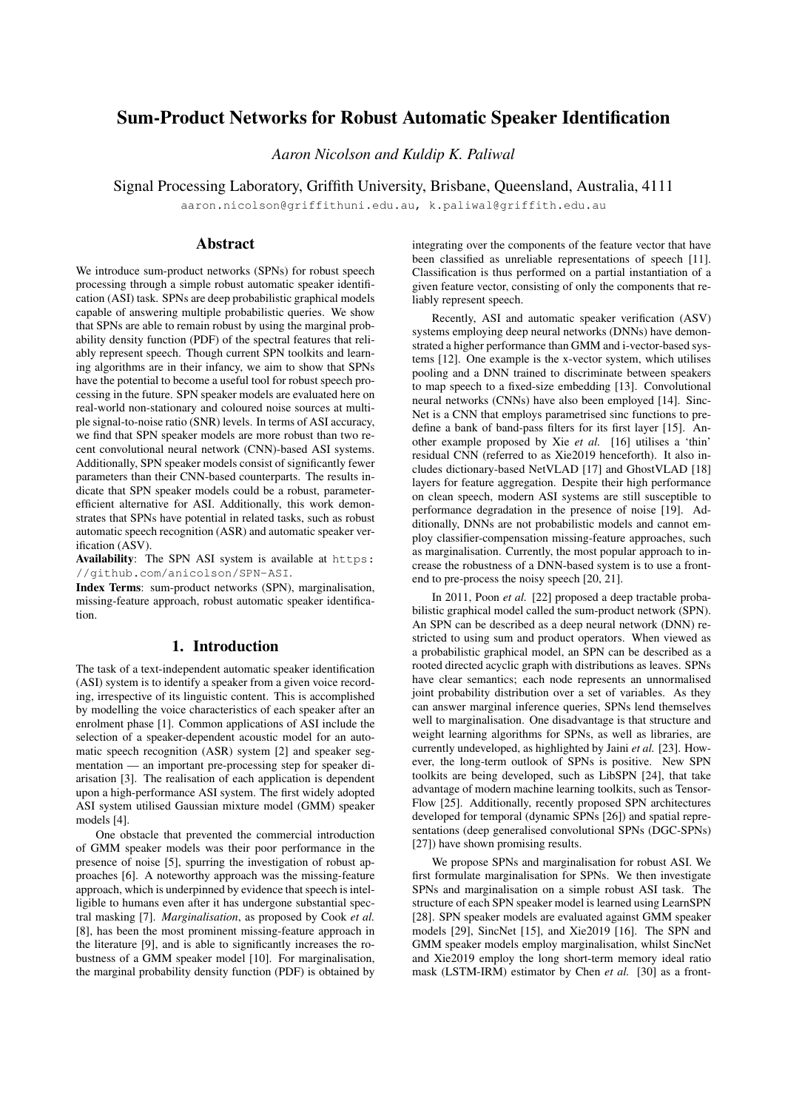# Sum-Product Networks for Robust Automatic Speaker Identification

*Aaron Nicolson and Kuldip K. Paliwal*

Signal Processing Laboratory, Griffith University, Brisbane, Queensland, Australia, 4111

aaron.nicolson@griffithuni.edu.au, k.paliwal@griffith.edu.au

## Abstract

We introduce sum-product networks (SPNs) for robust speech processing through a simple robust automatic speaker identification (ASI) task. SPNs are deep probabilistic graphical models capable of answering multiple probabilistic queries. We show that SPNs are able to remain robust by using the marginal probability density function (PDF) of the spectral features that reliably represent speech. Though current SPN toolkits and learning algorithms are in their infancy, we aim to show that SPNs have the potential to become a useful tool for robust speech processing in the future. SPN speaker models are evaluated here on real-world non-stationary and coloured noise sources at multiple signal-to-noise ratio (SNR) levels. In terms of ASI accuracy, we find that SPN speaker models are more robust than two recent convolutional neural network (CNN)-based ASI systems. Additionally, SPN speaker models consist of significantly fewer parameters than their CNN-based counterparts. The results indicate that SPN speaker models could be a robust, parameterefficient alternative for ASI. Additionally, this work demonstrates that SPNs have potential in related tasks, such as robust automatic speech recognition (ASR) and automatic speaker verification (ASV).

Availability: The SPN ASI system is available at https: //github.com/anicolson/SPN-ASI.

Index Terms: sum-product networks (SPN), marginalisation, missing-feature approach, robust automatic speaker identification.

## 1. Introduction

The task of a text-independent automatic speaker identification (ASI) system is to identify a speaker from a given voice recording, irrespective of its linguistic content. This is accomplished by modelling the voice characteristics of each speaker after an enrolment phase [1]. Common applications of ASI include the selection of a speaker-dependent acoustic model for an automatic speech recognition (ASR) system [2] and speaker segmentation — an important pre-processing step for speaker diarisation [3]. The realisation of each application is dependent upon a high-performance ASI system. The first widely adopted ASI system utilised Gaussian mixture model (GMM) speaker models [4].

One obstacle that prevented the commercial introduction of GMM speaker models was their poor performance in the presence of noise [5], spurring the investigation of robust approaches [6]. A noteworthy approach was the missing-feature approach, which is underpinned by evidence that speech is intelligible to humans even after it has undergone substantial spectral masking [7]. *Marginalisation*, as proposed by Cook *et al.* [8], has been the most prominent missing-feature approach in the literature [9], and is able to significantly increases the robustness of a GMM speaker model [10]. For marginalisation, the marginal probability density function (PDF) is obtained by

integrating over the components of the feature vector that have been classified as unreliable representations of speech [11]. Classification is thus performed on a partial instantiation of a given feature vector, consisting of only the components that reliably represent speech.

Recently, ASI and automatic speaker verification (ASV) systems employing deep neural networks (DNNs) have demonstrated a higher performance than GMM and i-vector-based systems [12]. One example is the x-vector system, which utilises pooling and a DNN trained to discriminate between speakers to map speech to a fixed-size embedding [13]. Convolutional neural networks (CNNs) have also been employed [14]. Sinc-Net is a CNN that employs parametrised sinc functions to predefine a bank of band-pass filters for its first layer [15]. Another example proposed by Xie *et al.* [16] utilises a 'thin' residual CNN (referred to as Xie2019 henceforth). It also includes dictionary-based NetVLAD [17] and GhostVLAD [18] layers for feature aggregation. Despite their high performance on clean speech, modern ASI systems are still susceptible to performance degradation in the presence of noise [19]. Additionally, DNNs are not probabilistic models and cannot employ classifier-compensation missing-feature approaches, such as marginalisation. Currently, the most popular approach to increase the robustness of a DNN-based system is to use a frontend to pre-process the noisy speech [20, 21].

In 2011, Poon *et al.* [22] proposed a deep tractable probabilistic graphical model called the sum-product network (SPN). An SPN can be described as a deep neural network (DNN) restricted to using sum and product operators. When viewed as a probabilistic graphical model, an SPN can be described as a rooted directed acyclic graph with distributions as leaves. SPNs have clear semantics; each node represents an unnormalised joint probability distribution over a set of variables. As they can answer marginal inference queries, SPNs lend themselves well to marginalisation. One disadvantage is that structure and weight learning algorithms for SPNs, as well as libraries, are currently undeveloped, as highlighted by Jaini *et al.* [23]. However, the long-term outlook of SPNs is positive. New SPN toolkits are being developed, such as LibSPN [24], that take advantage of modern machine learning toolkits, such as Tensor-Flow [25]. Additionally, recently proposed SPN architectures developed for temporal (dynamic SPNs [26]) and spatial representations (deep generalised convolutional SPNs (DGC-SPNs) [27]) have shown promising results.

We propose SPNs and marginalisation for robust ASI. We first formulate marginalisation for SPNs. We then investigate SPNs and marginalisation on a simple robust ASI task. The structure of each SPN speaker model is learned using LearnSPN [28]. SPN speaker models are evaluated against GMM speaker models [29], SincNet [15], and Xie2019 [16]. The SPN and GMM speaker models employ marginalisation, whilst SincNet and Xie2019 employ the long short-term memory ideal ratio mask (LSTM-IRM) estimator by Chen *et al.* [30] as a front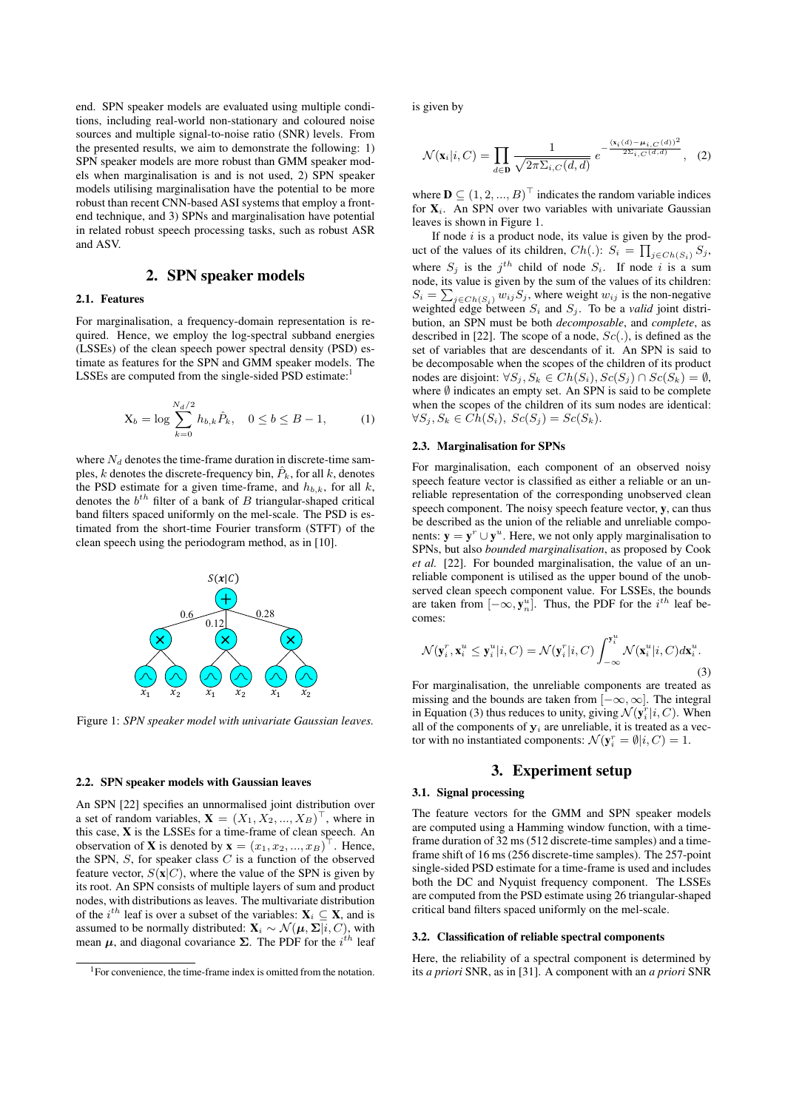end. SPN speaker models are evaluated using multiple conditions, including real-world non-stationary and coloured noise sources and multiple signal-to-noise ratio (SNR) levels. From the presented results, we aim to demonstrate the following: 1) SPN speaker models are more robust than GMM speaker models when marginalisation is and is not used, 2) SPN speaker models utilising marginalisation have the potential to be more robust than recent CNN-based ASI systems that employ a frontend technique, and 3) SPNs and marginalisation have potential in related robust speech processing tasks, such as robust ASR and ASV.

## 2. SPN speaker models

### 2.1. Features

For marginalisation, a frequency-domain representation is required. Hence, we employ the log-spectral subband energies (LSSEs) of the clean speech power spectral density (PSD) estimate as features for the SPN and GMM speaker models. The LSSEs are computed from the single-sided PSD estimate:

$$
X_b = \log \sum_{k=0}^{N_d/2} h_{b,k} \hat{P}_k, \quad 0 \le b \le B - 1,
$$
 (1)

where  $N_d$  denotes the time-frame duration in discrete-time samples, k denotes the discrete-frequency bin,  $\hat{P}_k$ , for all k, denotes the PSD estimate for a given time-frame, and  $h_{b,k}$ , for all k, denotes the  $b^{th}$  filter of a bank of B triangular-shaped critical band filters spaced uniformly on the mel-scale. The PSD is estimated from the short-time Fourier transform (STFT) of the clean speech using the periodogram method, as in [10].



Figure 1: *SPN speaker model with univariate Gaussian leaves.*

#### 2.2. SPN speaker models with Gaussian leaves

An SPN [22] specifies an unnormalised joint distribution over a set of random variables,  $\mathbf{X} = (X_1, X_2, ..., X_B)^\top$ , where in this case, X is the LSSEs for a time-frame of clean speech. An observation of **X** is denoted by  $\mathbf{x} = (x_1, x_2, ..., x_B)^\top$ . Hence, the SPN,  $S$ , for speaker class  $C$  is a function of the observed feature vector,  $S(\mathbf{x}|C)$ , where the value of the SPN is given by its root. An SPN consists of multiple layers of sum and product nodes, with distributions as leaves. The multivariate distribution of the  $i^{th}$  leaf is over a subset of the variables:  $X_i \subseteq X$ , and is assumed to be normally distributed:  $\mathbf{X}_i \sim \mathcal{N}(\boldsymbol{\mu}, \boldsymbol{\Sigma} | i, C)$ , with mean  $\mu$ , and diagonal covariance  $\Sigma$ . The PDF for the  $i^{th}$  leaf

is given by

$$
\mathcal{N}(\mathbf{x}_i|i, C) = \prod_{d \in \mathbf{D}} \frac{1}{\sqrt{2\pi \Sigma_{i, C}(d, d)}} e^{-\frac{(\mathbf{x}_i(d) - \mu_{i, C}(d))^2}{2\Sigma_{i, C}(d, d)}}, \quad (2)
$$

where  $\mathbf{D} \subseteq (1, 2, ..., B)^{\top}$  indicates the random variable indices for  $X_i$ . An SPN over two variables with univariate Gaussian leaves is shown in Figure 1.

If node  $i$  is a product node, its value is given by the product of the values of its children,  $Ch(.)$ :  $S_i = \prod_{j \in Ch(S_i)} S_j$ , where  $S_j$  is the  $j^{th}$  child of node  $S_i$ . If node i is a sum node, its value is given by the sum of the values of its children:  $S_i = \sum_{j \in Ch(S_i)} w_{ij} S_j$ , where weight  $w_{ij}$  is the non-negative weighted edge between  $S_i$  and  $S_j$ . To be a *valid* joint distribution, an SPN must be both *decomposable*, and *complete*, as described in [22]. The scope of a node,  $Sc(.)$ , is defined as the set of variables that are descendants of it. An SPN is said to be decomposable when the scopes of the children of its product nodes are disjoint:  $\forall S_j, S_k \in Ch(S_i), Sc(S_j) \cap Sc(S_k) = \emptyset$ , where  $\emptyset$  indicates an empty set. An SPN is said to be complete when the scopes of the children of its sum nodes are identical:  $\forall S_j, S_k \in Ch(S_i), Sc(S_j) = Sc(S_k).$ 

#### 2.3. Marginalisation for SPNs

For marginalisation, each component of an observed noisy speech feature vector is classified as either a reliable or an unreliable representation of the corresponding unobserved clean speech component. The noisy speech feature vector, y, can thus be described as the union of the reliable and unreliable components:  $y = y^r \cup y^u$ . Here, we not only apply marginalisation to SPNs, but also *bounded marginalisation*, as proposed by Cook *et al.* [22]. For bounded marginalisation, the value of an unreliable component is utilised as the upper bound of the unobserved clean speech component value. For LSSEs, the bounds are taken from  $[-\infty, \mathbf{y}_n^u]$ . Thus, the PDF for the  $i^{th}$  leaf becomes:

$$
\mathcal{N}(\mathbf{y}_i^r, \mathbf{x}_i^u \le \mathbf{y}_i^u | i, C) = \mathcal{N}(\mathbf{y}_i^r | i, C) \int_{-\infty}^{\mathbf{y}_i^u} \mathcal{N}(\mathbf{x}_i^u | i, C) d\mathbf{x}_i^u.
$$
\n(3)

For marginalisation, the unreliable components are treated as missing and the bounds are taken from  $[-\infty, \infty]$ . The integral in Equation (3) thus reduces to unity, giving  $\mathcal{N}(\mathbf{y}_i^r|i, C)$ . When all of the components of  $y_i$  are unreliable, it is treated as a vector with no instantiated components:  $\mathcal{N}(\mathbf{y}_i^r = \emptyset | i, C) = 1$ .

## 3. Experiment setup

#### 3.1. Signal processing

The feature vectors for the GMM and SPN speaker models are computed using a Hamming window function, with a timeframe duration of 32 ms (512 discrete-time samples) and a timeframe shift of 16 ms (256 discrete-time samples). The 257-point single-sided PSD estimate for a time-frame is used and includes both the DC and Nyquist frequency component. The LSSEs are computed from the PSD estimate using 26 triangular-shaped critical band filters spaced uniformly on the mel-scale.

#### 3.2. Classification of reliable spectral components

Here, the reliability of a spectral component is determined by its *a priori* SNR, as in [31]. A component with an *a priori* SNR

<sup>&</sup>lt;sup>1</sup>For convenience, the time-frame index is omitted from the notation.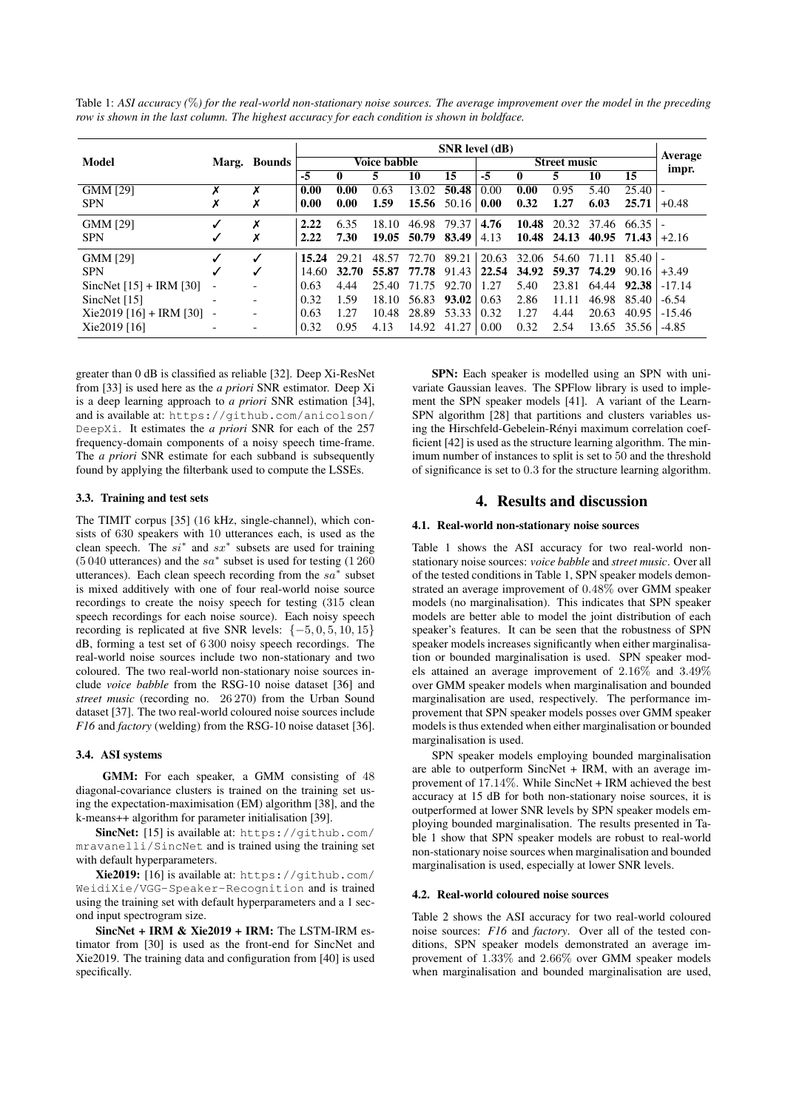| Table 1: ASI accuracy $(\%)$ for the real-world non-stationary noise sources. The average improvement over the model in the preceding |  |
|---------------------------------------------------------------------------------------------------------------------------------------|--|
| row is shown in the last column. The highest accuracy for each condition is shown in boldface.                                        |  |

|                           |                          | Marg. Bounds | <b>SNR</b> level (dB) |       |       |                   |                         |       |       |             |         |                     |          |
|---------------------------|--------------------------|--------------|-----------------------|-------|-------|-------------------|-------------------------|-------|-------|-------------|---------|---------------------|----------|
| Model                     |                          |              | Voice babble          |       |       |                   | <b>Street music</b>     |       |       |             | Average |                     |          |
|                           |                          |              | $-5$                  | 0     | 5     | 10                | 15                      | $-5$  | 0     | 5.          | 10      | 15                  | impr.    |
| <b>GMM [29]</b>           | х                        | х            | 0.00                  | 0.00  | 0.63  | 13.02             | 50.48                   | 0.00  | 0.00  | 0.95        | 5.40    | 25.40               |          |
| <b>SPN</b>                | Х                        | Х            | 0.00                  | 0.00  | 1.59  |                   | 15.56 $50.16 \mid 0.00$ |       | 0.32  | 1.27        | 6.03    | 25.71               | $+0.48$  |
| <b>GMM [29]</b>           | ✓                        | X            | 2.22                  | 6.35  | 18.10 | 46.98             | 79.37                   | 4.76  | 10.48 | 20.32       | 37.46   | $66.35 -$           |          |
| <b>SPN</b>                | $\checkmark$             | Х            | 2.22                  | 7.30  |       | 19.05 50.79 83.49 |                         | 4.13  |       | 10.48 24.13 |         | 40.95 $71.43$ +2.16 |          |
| GMM [29]                  | $\checkmark$             |              | 15.24                 | 29.21 | 48.57 | 72.70             | 89.21                   | 20.63 |       | 32.06 54.60 | 71.11   | $85.40$   -         |          |
| <b>SPN</b>                | $\checkmark$             | √            | 14.60                 | 32.70 | 55.87 | 77.78             | 91.43                   | 22.54 | 34.92 | 59.37       | 74.29   | 90.16               | $+3.49$  |
| SincNet $[15] + IRM$ [30] | $\overline{\phantom{a}}$ |              | 0.63                  | 4.44  | 25.40 | 71.75             | 92.70                   | 1.27  | 5.40  | 23.81       | 64.44   | 92.38               | $-17.14$ |
| SincNet $[15]$            |                          |              | 0.32                  | 1.59  | 18.10 | 56.83             | 93.02                   | 0.63  | 2.86  | 11.11       | 46.98   | 85.40               | $-6.54$  |
| $Xie2019$ [16] + IRM [30] | $\overline{\phantom{a}}$ |              | 0.63                  | 1.27  | 10.48 | 28.89             | 53.33                   | 0.32  | 1.27  | 4.44        | 20.63   | 40.95               | $-15.46$ |
| Xie2019 [16]              |                          |              | 0.32                  | 0.95  | 4.13  | 14.92             | 41.27                   | 0.00  | 0.32  | 2.54        | 13.65   | 35.56               | $-4.85$  |

greater than 0 dB is classified as reliable [32]. Deep Xi-ResNet from [33] is used here as the *a priori* SNR estimator. Deep Xi is a deep learning approach to *a priori* SNR estimation [34], and is available at: https://github.com/anicolson/ DeepXi. It estimates the *a priori* SNR for each of the 257 frequency-domain components of a noisy speech time-frame. The *a priori* SNR estimate for each subband is subsequently found by applying the filterbank used to compute the LSSEs.

### 3.3. Training and test sets

The TIMIT corpus [35] (16 kHz, single-channel), which consists of 630 speakers with 10 utterances each, is used as the clean speech. The  $si^*$  and  $sx^*$  subsets are used for training  $(5040 \text{ utterances})$  and the sa<sup>\*</sup> subset is used for testing  $(1260 \text{°s})$ utterances). Each clean speech recording from the  $sa^*$  subset is mixed additively with one of four real-world noise source recordings to create the noisy speech for testing (315 clean speech recordings for each noise source). Each noisy speech recording is replicated at five SNR levels:  $\{-5, 0, 5, 10, 15\}$ dB, forming a test set of 6 300 noisy speech recordings. The real-world noise sources include two non-stationary and two coloured. The two real-world non-stationary noise sources include *voice babble* from the RSG-10 noise dataset [36] and *street music* (recording no. 26 270) from the Urban Sound dataset [37]. The two real-world coloured noise sources include *F16* and *factory* (welding) from the RSG-10 noise dataset [36].

#### 3.4. ASI systems

GMM: For each speaker, a GMM consisting of 48 diagonal-covariance clusters is trained on the training set using the expectation-maximisation (EM) algorithm [38], and the k-means++ algorithm for parameter initialisation [39].

SincNet: [15] is available at: https://github.com/ mravanelli/SincNet and is trained using the training set with default hyperparameters.

Xie2019: [16] is available at: https://github.com/ WeidiXie/VGG-Speaker-Recognition and is trained using the training set with default hyperparameters and a 1 second input spectrogram size.

SincNet + IRM & Xie2019 + IRM: The LSTM-IRM estimator from [30] is used as the front-end for SincNet and Xie2019. The training data and configuration from [40] is used specifically.

SPN: Each speaker is modelled using an SPN with univariate Gaussian leaves. The SPFlow library is used to implement the SPN speaker models [41]. A variant of the Learn-SPN algorithm [28] that partitions and clusters variables using the Hirschfeld-Gebelein-Rényi maximum correlation coefficient [42] is used as the structure learning algorithm. The minimum number of instances to split is set to 50 and the threshold of significance is set to 0.3 for the structure learning algorithm.

## 4. Results and discussion

## 4.1. Real-world non-stationary noise sources

Table 1 shows the ASI accuracy for two real-world nonstationary noise sources: *voice babble* and *street music*. Over all of the tested conditions in Table 1, SPN speaker models demonstrated an average improvement of 0.48% over GMM speaker models (no marginalisation). This indicates that SPN speaker models are better able to model the joint distribution of each speaker's features. It can be seen that the robustness of SPN speaker models increases significantly when either marginalisation or bounded marginalisation is used. SPN speaker models attained an average improvement of 2.16% and 3.49% over GMM speaker models when marginalisation and bounded marginalisation are used, respectively. The performance improvement that SPN speaker models posses over GMM speaker models is thus extended when either marginalisation or bounded marginalisation is used.

SPN speaker models employing bounded marginalisation are able to outperform SincNet + IRM, with an average improvement of 17.14%. While SincNet + IRM achieved the best accuracy at 15 dB for both non-stationary noise sources, it is outperformed at lower SNR levels by SPN speaker models employing bounded marginalisation. The results presented in Table 1 show that SPN speaker models are robust to real-world non-stationary noise sources when marginalisation and bounded marginalisation is used, especially at lower SNR levels.

#### 4.2. Real-world coloured noise sources

Table 2 shows the ASI accuracy for two real-world coloured noise sources: *F16* and *factory*. Over all of the tested conditions, SPN speaker models demonstrated an average improvement of 1.33% and 2.66% over GMM speaker models when marginalisation and bounded marginalisation are used,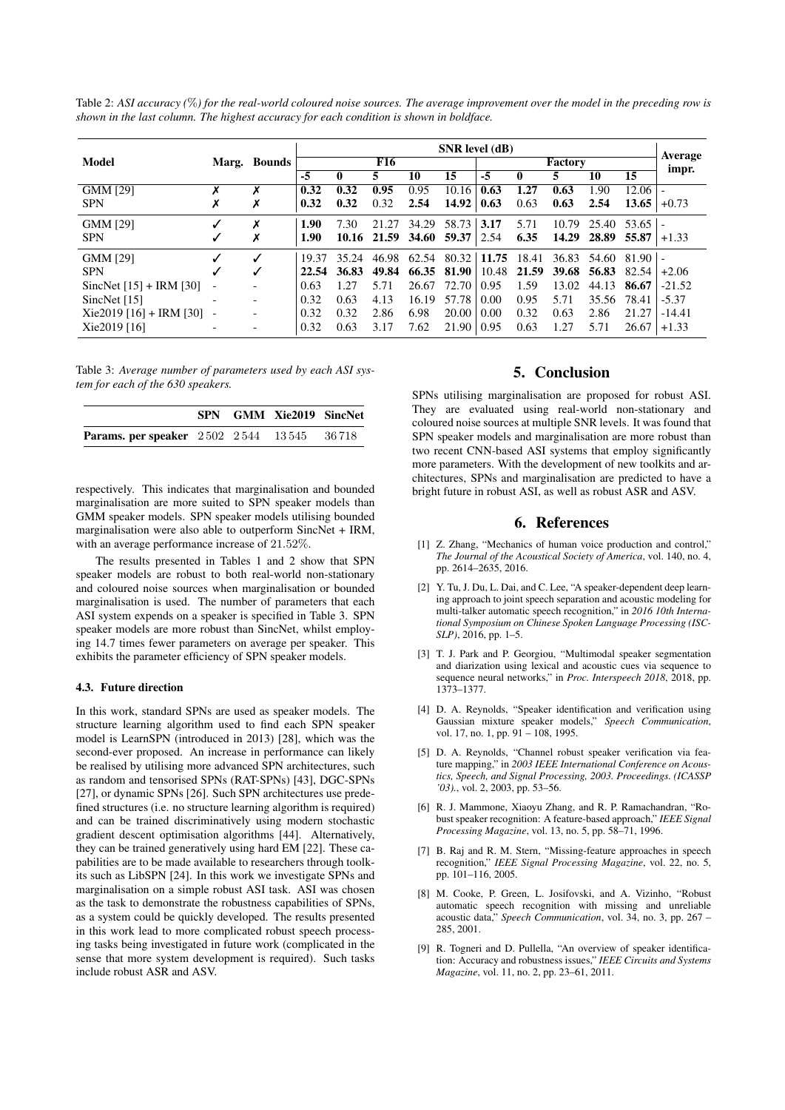Table 2: *ASI accuracy (*%*) for the real-world coloured noise sources. The average improvement over the model in the preceding row is shown in the last column. The highest accuracy for each condition is shown in boldface.*

|                           |                          | Marg. Bounds | <b>SNR</b> level (dB) |       |       |              |                   |                    |       |       |                  |             |          |
|---------------------------|--------------------------|--------------|-----------------------|-------|-------|--------------|-------------------|--------------------|-------|-------|------------------|-------------|----------|
| Model                     |                          |              | F16                   |       |       |              | Factory           |                    |       |       | Average<br>impr. |             |          |
|                           |                          |              | -5                    |       | 5.    | 10           | 15                | $-5$               | 0     |       | 10               | 15          |          |
| <b>GMM [29]</b>           | Х                        | Х            | 0.32                  | 0.32  | 0.95  | 0.95         | 10.16             | 0.63               | 1.27  | 0.63  | 1.90             | 12.06       |          |
| <b>SPN</b>                | Х                        | Х            | 0.32                  | 0.32  | 0.32  | 2.54         | 14.92             | 0.63               | 0.63  | 0.63  | 2.54             | 13.65       | $+0.73$  |
| <b>GMM [29]</b>           | ✓                        | X            | 1.90                  | 7.30  | 21.27 | 34.29        | 58.73             | 3.17               | 5.71  | 10.79 | 25.40            | $53.65$   - |          |
| <b>SPN</b>                | ✓                        | х            | 1.90                  | 10.16 | 21.59 | <b>34.60</b> | $59.37 \mid 2.54$ |                    | 6.35  | 14.29 | 28.89            | 55.87       | $+1.33$  |
| <b>GMM [29]</b>           |                          | J            | 19.37                 | 35.24 | 46.98 | 62.54        |                   | $80.32 \mid 11.75$ | 18.41 | 36.83 | 54.60            | $81.90 -$   |          |
| <b>SPN</b>                |                          | √            | 22.54                 | 36.83 | 49.84 | 66.35        | 81.90             | 10.48              | 21.59 | 39.68 | 56.83            | 82.54       | $+2.06$  |
| SincNet $[15] + IRM$ [30] | $\overline{\phantom{a}}$ |              | 0.63                  | 1.27  | 5.71  | 26.67        | 72.70             | 0.95               | 1.59  | 13.02 | 44.13            | 86.67       | $-21.52$ |
| SincNet $[15]$            |                          |              | 0.32                  | 0.63  | 4.13  | 16.19        | 57.78             | 0.00               | 0.95  | 5.71  | 35.56            | 78.41       | $-5.37$  |
| $Xie2019$ [16] + IRM [30] | $\overline{\phantom{a}}$ |              | 0.32                  | 0.32  | 2.86  | 6.98         | 20.00             | 0.00               | 0.32  | 0.63  | 2.86             | 21.27       | $-14.41$ |
| Xie2019 [16]              |                          |              | 0.32                  | 0.63  | 3.17  | 7.62         | 21.90             | 0.95               | 0.63  | 1.27  | 5.71             | 26.67       | $+1.33$  |

Table 3: *Average number of parameters used by each ASI system for each of the 630 speakers.*

|                                                  |  | SPN GMM Xie2019 SincNet |  |
|--------------------------------------------------|--|-------------------------|--|
| <b>Params. per speaker</b> 2502 2544 13545 36718 |  |                         |  |

respectively. This indicates that marginalisation and bounded marginalisation are more suited to SPN speaker models than GMM speaker models. SPN speaker models utilising bounded marginalisation were also able to outperform SincNet + IRM, with an average performance increase of 21.52%.

The results presented in Tables 1 and 2 show that SPN speaker models are robust to both real-world non-stationary and coloured noise sources when marginalisation or bounded marginalisation is used. The number of parameters that each ASI system expends on a speaker is specified in Table 3. SPN speaker models are more robust than SincNet, whilst employing 14.7 times fewer parameters on average per speaker. This exhibits the parameter efficiency of SPN speaker models.

### 4.3. Future direction

In this work, standard SPNs are used as speaker models. The structure learning algorithm used to find each SPN speaker model is LearnSPN (introduced in 2013) [28], which was the second-ever proposed. An increase in performance can likely be realised by utilising more advanced SPN architectures, such as random and tensorised SPNs (RAT-SPNs) [43], DGC-SPNs [27], or dynamic SPNs [26]. Such SPN architectures use predefined structures (i.e. no structure learning algorithm is required) and can be trained discriminatively using modern stochastic gradient descent optimisation algorithms [44]. Alternatively, they can be trained generatively using hard EM [22]. These capabilities are to be made available to researchers through toolkits such as LibSPN [24]. In this work we investigate SPNs and marginalisation on a simple robust ASI task. ASI was chosen as the task to demonstrate the robustness capabilities of SPNs, as a system could be quickly developed. The results presented in this work lead to more complicated robust speech processing tasks being investigated in future work (complicated in the sense that more system development is required). Such tasks include robust ASR and ASV.

## 5. Conclusion

SPNs utilising marginalisation are proposed for robust ASI. They are evaluated using real-world non-stationary and coloured noise sources at multiple SNR levels. It was found that SPN speaker models and marginalisation are more robust than two recent CNN-based ASI systems that employ significantly more parameters. With the development of new toolkits and architectures, SPNs and marginalisation are predicted to have a bright future in robust ASI, as well as robust ASR and ASV.

#### 6. References

- [1] Z. Zhang, "Mechanics of human voice production and control," *The Journal of the Acoustical Society of America*, vol. 140, no. 4, pp. 2614–2635, 2016.
- [2] Y. Tu, J. Du, L. Dai, and C. Lee, "A speaker-dependent deep learning approach to joint speech separation and acoustic modeling for multi-talker automatic speech recognition," in *2016 10th International Symposium on Chinese Spoken Language Processing (ISC-SLP)*, 2016, pp. 1–5.
- [3] T. J. Park and P. Georgiou, "Multimodal speaker segmentation and diarization using lexical and acoustic cues via sequence to sequence neural networks," in *Proc. Interspeech 2018*, 2018, pp. 1373–1377.
- [4] D. A. Reynolds, "Speaker identification and verification using Gaussian mixture speaker models," *Speech Communication*, vol. 17, no. 1, pp. 91 – 108, 1995.
- [5] D. A. Reynolds, "Channel robust speaker verification via feature mapping," in *2003 IEEE International Conference on Acoustics, Speech, and Signal Processing, 2003. Proceedings. (ICASSP '03).*, vol. 2, 2003, pp. 53–56.
- [6] R. J. Mammone, Xiaoyu Zhang, and R. P. Ramachandran, "Robust speaker recognition: A feature-based approach," *IEEE Signal Processing Magazine*, vol. 13, no. 5, pp. 58–71, 1996.
- [7] B. Raj and R. M. Stern, "Missing-feature approaches in speech recognition," *IEEE Signal Processing Magazine*, vol. 22, no. 5, pp. 101–116, 2005.
- [8] M. Cooke, P. Green, L. Josifovski, and A. Vizinho, "Robust automatic speech recognition with missing and unreliable acoustic data," *Speech Communication*, vol. 34, no. 3, pp. 267 – 285, 2001.
- [9] R. Togneri and D. Pullella, "An overview of speaker identification: Accuracy and robustness issues," *IEEE Circuits and Systems Magazine*, vol. 11, no. 2, pp. 23–61, 2011.